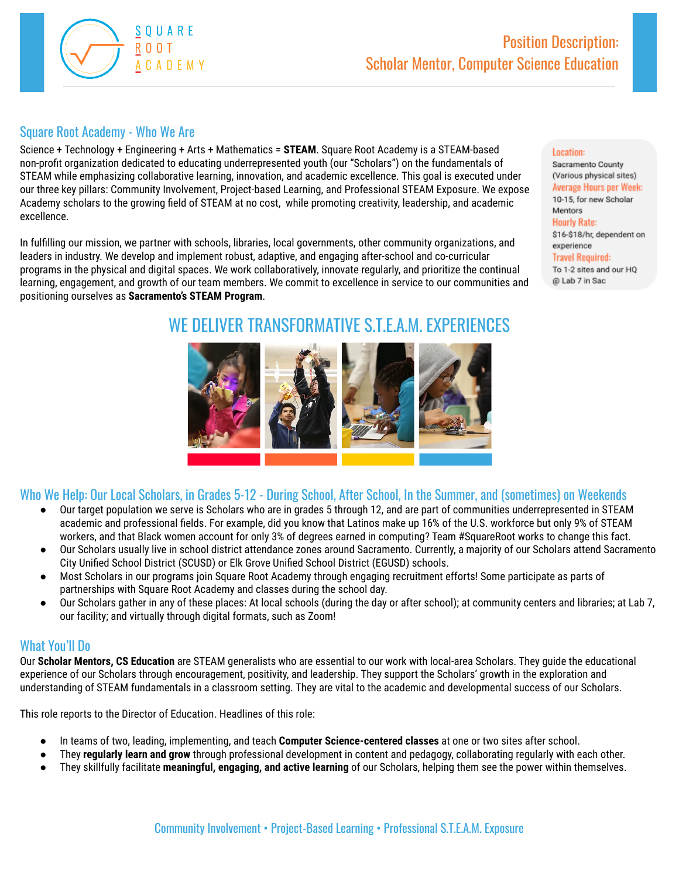

# Square Root Academy - Who We Are

Science + Technology + Engineering + Arts + Mathematics = **STEAM**. Square Root Academy is a STEAM-based non-profit organization dedicated to educating underrepresented youth (our "Scholars") on the fundamentals of STEAM while emphasizing collaborative learning, innovation, and academic excellence. This goal is executed under our three key pillars: Community Involvement, Project-based Learning, and Professional STEAM Exposure. We expose Academy scholars to the growing field of STEAM at no cost, while promoting creativity, leadership, and academic excellence.

In fulfilling our mission, we partner with schools, libraries, local governments, other community organizations, and leaders in industry. We develop and implement robust, adaptive, and engaging after-school and co-curricular programs in the physical and digital spaces. We work collaboratively, innovate regularly, and prioritize the continual learning, engagement, and growth of our team members. We commit to excellence in service to our communities and positioning ourselves as **Sacramento's STEAM Program**.

WE DELIVER TRANSFORMATIVE S.T.E.A.M. EXPERIENCES

# Sacramento County

Location:

(Various physical sites) Average Hours per Week: 10-15, for new Scholar Mentors **Hourly Rate:** \$16-\$18/hr, dependent on experience **Travel Required:** To 1-2 sites and our HQ @ Lab 7 in Sac

# Who We Help: Our Local Scholars, in Grades 5-12 - During School, After School, In the Summer, and (sometimes) on Weekends

- Our target population we serve is Scholars who are in grades 5 through 12, and are part of communities underrepresented in STEAM academic and professional fields. For example, did you know that Latinos make up 16% of the U.S. workforce but only 9% of STEAM workers, and that Black women account for only 3% of degrees earned in computing? Team #SquareRoot works to change this fact.
- Our Scholars usually live in school district attendance zones around Sacramento. Currently, a majority of our Scholars attend Sacramento City Unified School District (SCUSD) or Elk Grove Unified School District (EGUSD) schools.
- Most Scholars in our programs join Square Root Academy through engaging recruitment efforts! Some participate as parts of partnerships with Square Root Academy and classes during the school day.
- Our Scholars gather in any of these places: At local schools (during the day or after school); at community centers and libraries; at Lab 7, our facility; and virtually through digital formats, such as Zoom!

## What You'll Do

Our **Scholar Mentors, CS Education** are STEAM generalists who are essential to our work with local-area Scholars. They guide the educational experience of our Scholars through encouragement, positivity, and leadership. They support the Scholars' growth in the exploration and understanding of STEAM fundamentals in a classroom setting. They are vital to the academic and developmental success of our Scholars.

This role reports to the Director of Education. Headlines of this role:

- In teams of two, leading, implementing, and teach **Computer Science-centered classes** at one or two sites after school.
- They **regularly learn and grow** through professional development in content and pedagogy, collaborating regularly with each other.
- They skillfully facilitate **meaningful, engaging, and active learning** of our Scholars, helping them see the power within themselves.